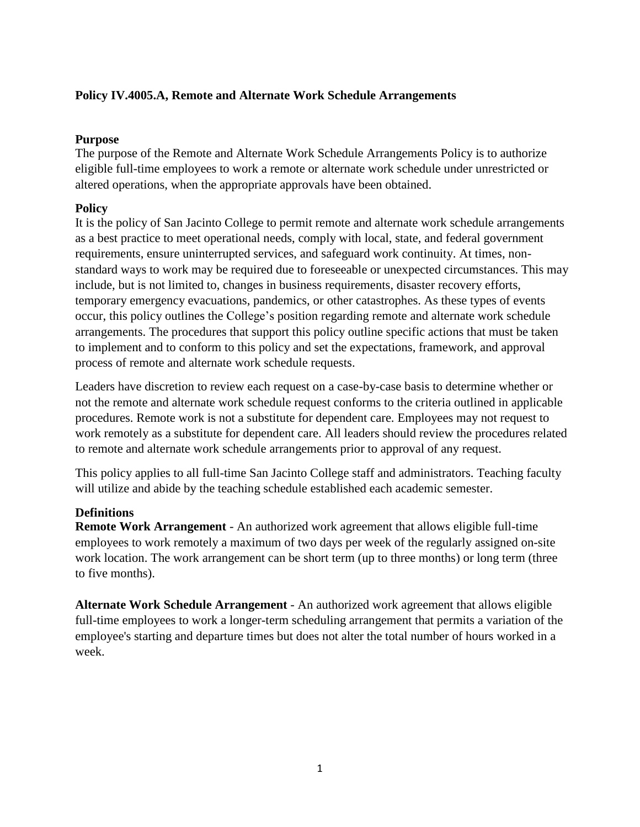## **Policy IV.4005.A, Remote and Alternate Work Schedule Arrangements**

#### **Purpose**

The purpose of the Remote and Alternate Work Schedule Arrangements Policy is to authorize eligible full-time employees to work a remote or alternate work schedule under unrestricted or altered operations, when the appropriate approvals have been obtained.

### **Policy**

It is the policy of San Jacinto College to permit remote and alternate work schedule arrangements as a best practice to meet operational needs, comply with local, state, and federal government requirements, ensure uninterrupted services, and safeguard work continuity. At times, nonstandard ways to work may be required due to foreseeable or unexpected circumstances. This may include, but is not limited to, changes in business requirements, disaster recovery efforts, temporary emergency evacuations, pandemics, or other catastrophes. As these types of events occur, this policy outlines the College's position regarding remote and alternate work schedule arrangements. The procedures that support this policy outline specific actions that must be taken to implement and to conform to this policy and set the expectations, framework, and approval process of remote and alternate work schedule requests.

Leaders have discretion to review each request on a case-by-case basis to determine whether or not the remote and alternate work schedule request conforms to the criteria outlined in applicable procedures. Remote work is not a substitute for dependent care. Employees may not request to work remotely as a substitute for dependent care. All leaders should review the procedures related to remote and alternate work schedule arrangements prior to approval of any request.

This policy applies to all full-time San Jacinto College staff and administrators. Teaching faculty will utilize and abide by the teaching schedule established each academic semester.

# **Definitions**

**Remote Work Arrangement** - An authorized work agreement that allows eligible full-time employees to work remotely a maximum of two days per week of the regularly assigned on-site work location. The work arrangement can be short term (up to three months) or long term (three to five months).

**Alternate Work Schedule Arrangement** - An authorized work agreement that allows eligible full-time employees to work a longer-term scheduling arrangement that permits a variation of the employee's starting and departure times but does not alter the total number of hours worked in a week.